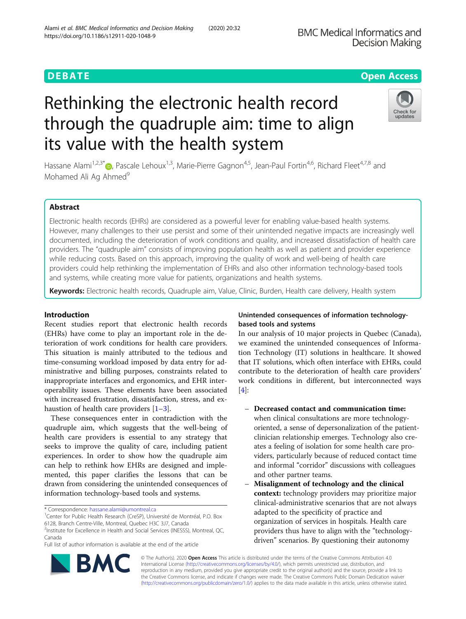# Rethinking the electronic health record through the quadruple aim: time to align its value with the health system

Hassane Alami<sup>1,2,3[\\*](http://orcid.org/0000-0002-5461-7693)</sup><sup>O</sup>, Pascale Lehoux<sup>1,3</sup>, Marie-Pierre Gagnon<sup>4,5</sup>, Jean-Paul Fortin<sup>4,6</sup>, Richard Fleet<sup>4,7,8</sup> and Mohamed Ali Ag Ahmed<sup>9</sup>

# Abstract

Electronic health records (EHRs) are considered as a powerful lever for enabling value-based health systems. However, many challenges to their use persist and some of their unintended negative impacts are increasingly well documented, including the deterioration of work conditions and quality, and increased dissatisfaction of health care providers. The "quadruple aim" consists of improving population health as well as patient and provider experience while reducing costs. Based on this approach, improving the quality of work and well-being of health care providers could help rethinking the implementation of EHRs and also other information technology-based tools and systems, while creating more value for patients, organizations and health systems.

Keywords: Electronic health records, Quadruple aim, Value, Clinic, Burden, Health care delivery, Health system

# Introduction

Recent studies report that electronic health records (EHRs) have come to play an important role in the deterioration of work conditions for health care providers. This situation is mainly attributed to the tedious and time-consuming workload imposed by data entry for administrative and billing purposes, constraints related to inappropriate interfaces and ergonomics, and EHR interoperability issues. These elements have been associated with increased frustration, dissatisfaction, stress, and exhaustion of health care providers  $[1-3]$  $[1-3]$  $[1-3]$  $[1-3]$ .

These consequences enter in contradiction with the quadruple aim, which suggests that the well-being of health care providers is essential to any strategy that seeks to improve the quality of care, including patient experiences. In order to show how the quadruple aim can help to rethink how EHRs are designed and implemented, this paper clarifies the lessons that can be drawn from considering the unintended consequences of information technology-based tools and systems.

\* Correspondence: [hassane.alami@umontreal.ca](mailto:hassane.alami@umontreal.ca) <sup>1</sup>

Full list of author information is available at the end of the article

# Unintended consequences of information technologybased tools and systems

In our analysis of 10 major projects in Quebec (Canada), we examined the unintended consequences of Information Technology (IT) solutions in healthcare. It showed that IT solutions, which often interface with EHRs, could contribute to the deterioration of health care providers' work conditions in different, but interconnected ways  $[4]$  $[4]$ :

- Decreased contact and communication time: when clinical consultations are more technologyoriented, a sense of depersonalization of the patientclinician relationship emerges. Technology also creates a feeling of isolation for some health care providers, particularly because of reduced contact time and informal "corridor" discussions with colleagues and other partner teams.
- Misalignment of technology and the clinical context: technology providers may prioritize major clinical-administrative scenarios that are not always adapted to the specificity of practice and organization of services in hospitals. Health care providers thus have to align with the "technologydriven" scenarios. By questioning their autonomy

© The Author(s). 2020 **Open Access** This article is distributed under the terms of the Creative Commons Attribution 4.0 International License [\(http://creativecommons.org/licenses/by/4.0/](http://creativecommons.org/licenses/by/4.0/)), which permits unrestricted use, distribution, and reproduction in any medium, provided you give appropriate credit to the original author(s) and the source, provide a link to the Creative Commons license, and indicate if changes were made. The Creative Commons Public Domain Dedication waiver [\(http://creativecommons.org/publicdomain/zero/1.0/](http://creativecommons.org/publicdomain/zero/1.0/)) applies to the data made available in this article, unless otherwise stated.

Alami et al. BMC Medical Informatics and Decision Making (2020) 20:32





<sup>&</sup>lt;sup>1</sup> Center for Public Health Research (CreSP), Université de Montréal, P.O. Box 6128, Branch Centre-Ville, Montreal, Quebec H3C 3J7, Canada

<sup>&</sup>lt;sup>2</sup>Institute for Excellence in Health and Social Services (INESSS), Montreal, QC, Canada

https://doi.org/10.1186/s12911-020-1048-9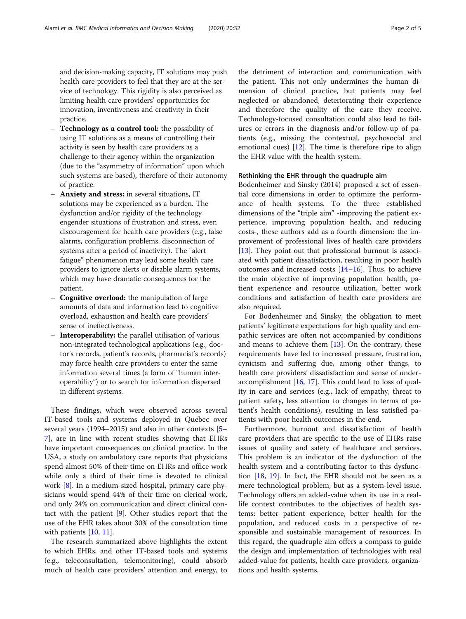and decision-making capacity, IT solutions may push health care providers to feel that they are at the service of technology. This rigidity is also perceived as limiting health care providers' opportunities for innovation, inventiveness and creativity in their practice.

- Technology as a control tool: the possibility of using IT solutions as a means of controlling their activity is seen by health care providers as a challenge to their agency within the organization (due to the "asymmetry of information" upon which such systems are based), therefore of their autonomy of practice.
- Anxiety and stress: in several situations, IT solutions may be experienced as a burden. The dysfunction and/or rigidity of the technology engender situations of frustration and stress, even discouragement for health care providers (e.g., false alarms, configuration problems, disconnection of systems after a period of inactivity). The "alert fatigue" phenomenon may lead some health care providers to ignore alerts or disable alarm systems, which may have dramatic consequences for the patient.
- Cognitive overload: the manipulation of large amounts of data and information lead to cognitive overload, exhaustion and health care providers' sense of ineffectiveness.
- Interoperability: the parallel utilisation of various non-integrated technological applications (e.g., doctor's records, patient's records, pharmacist's records) may force health care providers to enter the same information several times (a form of "human interoperability") or to search for information dispersed in different systems.

These findings, which were observed across several IT-based tools and systems deployed in Quebec over several years (1994–2015) and also in other contexts [[5](#page-4-0)– [7\]](#page-4-0), are in line with recent studies showing that EHRs have important consequences on clinical practice. In the USA, a study on ambulatory care reports that physicians spend almost 50% of their time on EHRs and office work while only a third of their time is devoted to clinical work [[8\]](#page-4-0). In a medium-sized hospital, primary care physicians would spend 44% of their time on clerical work, and only 24% on communication and direct clinical contact with the patient  $[9]$  $[9]$ . Other studies report that the use of the EHR takes about 30% of the consultation time with patients [[10,](#page-4-0) [11](#page-4-0)].

The research summarized above highlights the extent to which EHRs, and other IT-based tools and systems (e.g., teleconsultation, telemonitoring), could absorb much of health care providers' attention and energy, to

the detriment of interaction and communication with the patient. This not only undermines the human dimension of clinical practice, but patients may feel neglected or abandoned, deteriorating their experience and therefore the quality of the care they receive. Technology-focused consultation could also lead to failures or errors in the diagnosis and/or follow-up of patients (e.g., missing the contextual, psychosocial and emotional cues) [[12\]](#page-4-0). The time is therefore ripe to align the EHR value with the health system.

# Rethinking the EHR through the quadruple aim

Bodenheimer and Sinsky (2014) proposed a set of essential core dimensions in order to optimize the performance of health systems. To the three established dimensions of the "triple aim" -improving the patient experience, improving population health, and reducing costs-, these authors add as a fourth dimension: the improvement of professional lives of health care providers [[13\]](#page-4-0). They point out that professional burnout is associated with patient dissatisfaction, resulting in poor health outcomes and increased costs  $[14–16]$  $[14–16]$  $[14–16]$ . Thus, to achieve the main objective of improving population health, patient experience and resource utilization, better work conditions and satisfaction of health care providers are also required.

For Bodenheimer and Sinsky, the obligation to meet patients' legitimate expectations for high quality and empathic services are often not accompanied by conditions and means to achieve them  $[13]$  $[13]$ . On the contrary, these requirements have led to increased pressure, frustration, cynicism and suffering due, among other things, to health care providers' dissatisfaction and sense of underaccomplishment [[16,](#page-4-0) [17\]](#page-4-0). This could lead to loss of quality in care and services (e.g., lack of empathy, threat to patient safety, less attention to changes in terms of patient's health conditions), resulting in less satisfied patients with poor health outcomes in the end.

Furthermore, burnout and dissatisfaction of health care providers that are specific to the use of EHRs raise issues of quality and safety of healthcare and services. This problem is an indicator of the dysfunction of the health system and a contributing factor to this dysfunction  $[18, 19]$  $[18, 19]$  $[18, 19]$  $[18, 19]$ . In fact, the EHR should not be seen as a mere technological problem, but as a system-level issue. Technology offers an added-value when its use in a reallife context contributes to the objectives of health systems: better patient experience, better health for the population, and reduced costs in a perspective of responsible and sustainable management of resources. In this regard, the quadruple aim offers a compass to guide the design and implementation of technologies with real added-value for patients, health care providers, organizations and health systems.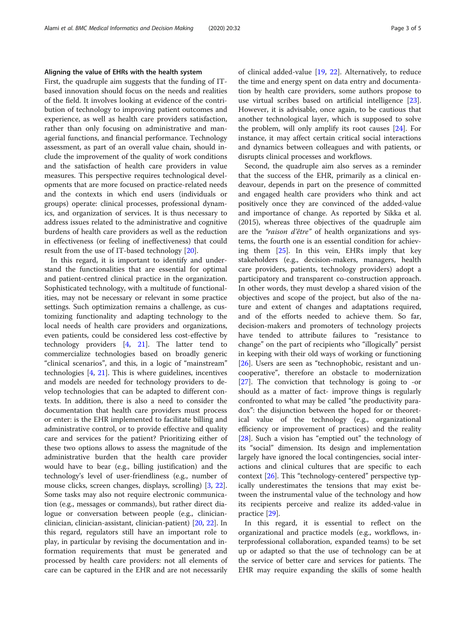## Aligning the value of EHRs with the health system

First, the quadruple aim suggests that the funding of ITbased innovation should focus on the needs and realities of the field. It involves looking at evidence of the contribution of technology to improving patient outcomes and experience, as well as health care providers satisfaction, rather than only focusing on administrative and managerial functions, and financial performance. Technology assessment, as part of an overall value chain, should include the improvement of the quality of work conditions and the satisfaction of health care providers in value measures. This perspective requires technological developments that are more focused on practice-related needs and the contexts in which end users (individuals or groups) operate: clinical processes, professional dynamics, and organization of services. It is thus necessary to address issues related to the administrative and cognitive burdens of health care providers as well as the reduction in effectiveness (or feeling of ineffectiveness) that could result from the use of IT-based technology [\[20](#page-4-0)].

In this regard, it is important to identify and understand the functionalities that are essential for optimal and patient-centred clinical practice in the organization. Sophisticated technology, with a multitude of functionalities, may not be necessary or relevant in some practice settings. Such optimization remains a challenge, as customizing functionality and adapting technology to the local needs of health care providers and organizations, even patients, could be considered less cost-effective by technology providers [\[4](#page-4-0), [21\]](#page-4-0). The latter tend to commercialize technologies based on broadly generic "clinical scenarios", and this, in a logic of "mainstream" technologies [\[4](#page-4-0), [21\]](#page-4-0). This is where guidelines, incentives and models are needed for technology providers to develop technologies that can be adapted to different contexts. In addition, there is also a need to consider the documentation that health care providers must process or enter: is the EHR implemented to facilitate billing and administrative control, or to provide effective and quality care and services for the patient? Prioritizing either of these two options allows to assess the magnitude of the administrative burden that the health care provider would have to bear (e.g., billing justification) and the technology's level of user-friendliness (e.g., number of mouse clicks, screen changes, displays, scrolling) [[3,](#page-4-0) [22](#page-4-0)]. Some tasks may also not require electronic communication (e.g., messages or commands), but rather direct dialogue or conversation between people (e.g., clinicianclinician, clinician-assistant, clinician-patient) [[20,](#page-4-0) [22\]](#page-4-0). In this regard, regulators still have an important role to play, in particular by revising the documentation and information requirements that must be generated and processed by health care providers: not all elements of care can be captured in the EHR and are not necessarily of clinical added-value [[19,](#page-4-0) [22](#page-4-0)]. Alternatively, to reduce the time and energy spent on data entry and documentation by health care providers, some authors propose to use virtual scribes based on artificial intelligence [\[23](#page-4-0)]. However, it is advisable, once again, to be cautious that another technological layer, which is supposed to solve the problem, will only amplify its root causes [\[24](#page-4-0)]. For instance, it may affect certain critical social interactions and dynamics between colleagues and with patients, or disrupts clinical processes and workflows.

Second, the quadruple aim also serves as a reminder that the success of the EHR, primarily as a clinical endeavour, depends in part on the presence of committed and engaged health care providers who think and act positively once they are convinced of the added-value and importance of change. As reported by Sikka et al. (2015), whereas three objectives of the quadruple aim are the "raison d'être" of health organizations and systems, the fourth one is an essential condition for achieving them [[25\]](#page-4-0). In this vein, EHRs imply that key stakeholders (e.g., decision-makers, managers, health care providers, patients, technology providers) adopt a participatory and transparent co-construction approach. In other words, they must develop a shared vision of the objectives and scope of the project, but also of the nature and extent of changes and adaptations required, and of the efforts needed to achieve them. So far, decision-makers and promoters of technology projects have tended to attribute failures to "resistance to change" on the part of recipients who "illogically" persist in keeping with their old ways of working or functioning [[26\]](#page-4-0). Users are seen as "technophobic, resistant and uncooperative", therefore an obstacle to modernization [[27\]](#page-4-0). The conviction that technology is going to -or should as a matter of fact- improve things is regularly confronted to what may be called "the productivity paradox": the disjunction between the hoped for or theoretical value of the technology (e.g., organizational efficiency or improvement of practices) and the reality [[28\]](#page-4-0). Such a vision has "emptied out" the technology of its "social" dimension. Its design and implementation largely have ignored the local contingencies, social interactions and clinical cultures that are specific to each context [\[26](#page-4-0)]. This "technology-centered" perspective typically underestimates the tensions that may exist between the instrumental value of the technology and how its recipients perceive and realize its added-value in practice [\[29\]](#page-4-0).

In this regard, it is essential to reflect on the organizational and practice models (e.g., workflows, interprofessional collaboration, expanded teams) to be set up or adapted so that the use of technology can be at the service of better care and services for patients. The EHR may require expanding the skills of some health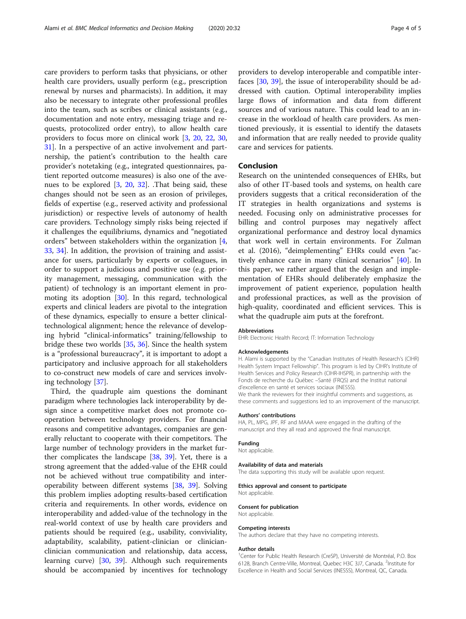care providers to perform tasks that physicians, or other health care providers, usually perform (e.g., prescription renewal by nurses and pharmacists). In addition, it may also be necessary to integrate other professional profiles into the team, such as scribes or clinical assistants (e.g., documentation and note entry, messaging triage and requests, protocolized order entry), to allow health care providers to focus more on clinical work [[3,](#page-4-0) [20,](#page-4-0) [22,](#page-4-0) [30](#page-4-0), [31\]](#page-4-0). In a perspective of an active involvement and partnership, the patient's contribution to the health care provider's notetaking (e.g., integrated questionnaires, patient reported outcome measures) is also one of the avenues to be explored [[3](#page-4-0), [20,](#page-4-0) [32\]](#page-4-0). .That being said, these changes should not be seen as an erosion of privileges, fields of expertise (e.g., reserved activity and professional jurisdiction) or respective levels of autonomy of health care providers. Technology simply risks being rejected if it challenges the equilibriums, dynamics and "negotiated orders" between stakeholders within the organization [\[4](#page-4-0), [33,](#page-4-0) [34\]](#page-4-0). In addition, the provision of training and assistance for users, particularly by experts or colleagues, in order to support a judicious and positive use (e.g. priority management, messaging, communication with the patient) of technology is an important element in promoting its adoption [[30](#page-4-0)]. In this regard, technological experts and clinical leaders are pivotal to the integration of these dynamics, especially to ensure a better clinicaltechnological alignment; hence the relevance of developing hybrid "clinical-informatics" training/fellowship to bridge these two worlds [[35,](#page-4-0) [36\]](#page-4-0). Since the health system is a "professional bureaucracy", it is important to adopt a participatory and inclusive approach for all stakeholders to co-construct new models of care and services involving technology [\[37\]](#page-4-0).

Third, the quadruple aim questions the dominant paradigm where technologies lack interoperability by design since a competitive market does not promote cooperation between technology providers. For financial reasons and competitive advantages, companies are generally reluctant to cooperate with their competitors. The large number of technology providers in the market further complicates the landscape  $[38, 39]$  $[38, 39]$  $[38, 39]$  $[38, 39]$ . Yet, there is a strong agreement that the added-value of the EHR could not be achieved without true compatibility and interoperability between different systems [\[38](#page-4-0), [39](#page-4-0)]. Solving this problem implies adopting results-based certification criteria and requirements. In other words, evidence on interoperability and added-value of the technology in the real-world context of use by health care providers and patients should be required (e.g., usability, conviviality, adaptability, scalability, patient-clinician or clinicianclinician communication and relationship, data access, learning curve) [[30](#page-4-0), [39\]](#page-4-0). Although such requirements should be accompanied by incentives for technology providers to develop interoperable and compatible interfaces [\[30,](#page-4-0) [39](#page-4-0)], the issue of interoperability should be addressed with caution. Optimal interoperability implies large flows of information and data from different sources and of various nature. This could lead to an increase in the workload of health care providers. As mentioned previously, it is essential to identify the datasets and information that are really needed to provide quality care and services for patients.

# Conclusion

Research on the unintended consequences of EHRs, but also of other IT-based tools and systems, on health care providers suggests that a critical reconsideration of the IT strategies in health organizations and systems is needed. Focusing only on administrative processes for billing and control purposes may negatively affect organizational performance and destroy local dynamics that work well in certain environments. For Zulman et al. (2016), "deimplementing" EHRs could even "actively enhance care in many clinical scenarios" [\[40](#page-4-0)]. In this paper, we rather argued that the design and implementation of EHRs should deliberately emphasize the improvement of patient experience, population health and professional practices, as well as the provision of high-quality, coordinated and efficient services. This is what the quadruple aim puts at the forefront.

#### Abbreviations

EHR: Electronic Health Record; IT: Information Technology

#### Acknowledgements

H. Alami is supported by the "Canadian Institutes of Health Research's (CIHR) Health System Impact Fellowship". This program is led by CIHR's Institute of Health Services and Policy Research (CIHR-IHSPR), in partnership with the Fonds de recherche du Québec –Santé (FRQS) and the Institut national d'excellence en santé et services sociaux (INESSS). We thank the reviewers for their insightful comments and suggestions, as

these comments and suggestions led to an improvement of the manuscript.

#### Authors' contributions

HA, PL, MPG, JPF, RF and MAAA were engaged in the drafting of the manuscript and they all read and approved the final manuscript.

# Funding

Not applicable.

#### Availability of data and materials

The data supporting this study will be available upon request.

## Ethics approval and consent to participate

Not applicable.

#### Consent for publication

Not applicable.

## Competing interests

The authors declare that they have no competing interests.

#### Author details

<sup>1</sup> Center for Public Health Research (CreSP), Université de Montréal, P.O. Box 6128, Branch Centre-Ville, Montreal, Quebec H3C 3J7, Canada. <sup>2</sup>Institute for Excellence in Health and Social Services (INESSS), Montreal, QC, Canada.